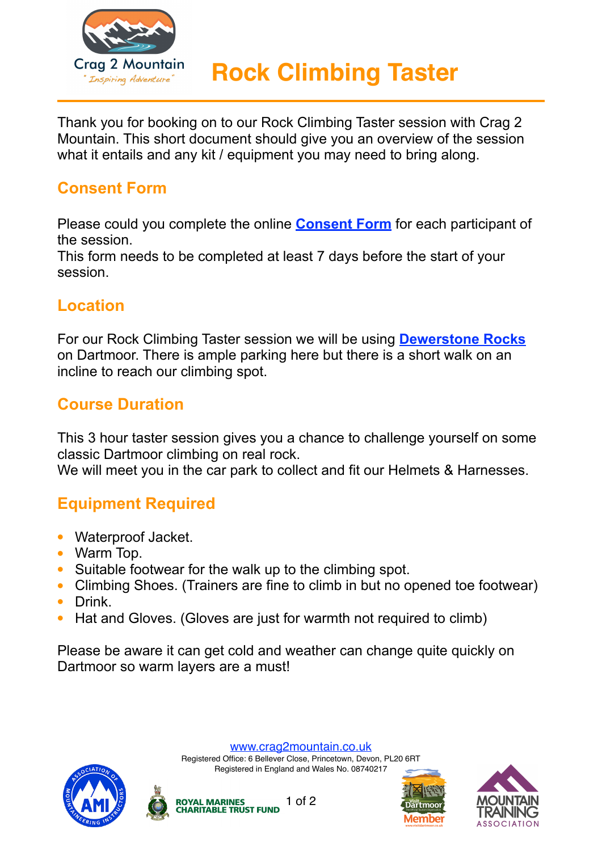

Thank you for booking on to our Rock Climbing Taster session with Crag 2 Mountain. This short document should give you an overview of the session what it entails and any kit / equipment you may need to bring along.

### **Consent Form**

Please could you complete the online **[Consent Form](https://form.jotformeu.com/crag2mountain/adventure-session-consent-form)** for each participant of the session.

This form needs to be completed at least 7 days before the start of your session.

#### **Location**

For our Rock Climbing Taster session we will be using **[Dewerstone Rocks](https://www.google.co.uk/maps/place/Dewerstone+Car+Park/@50.4539563,-4.0684692,311m/data=!3m1!1e3!4m5!3m4!1s0x0:0xe9f30cf3016eb25!8m2!3d50.4539563!4d-4.0672548)** on Dartmoor. There is ample parking here but there is a short walk on an incline to reach our climbing spot.

#### **Course Duration**

This 3 hour taster session gives you a chance to challenge yourself on some classic Dartmoor climbing on real rock.

We will meet you in the car park to collect and fit our Helmets & Harnesses.

# **Equipment Required**

- **•** Waterproof Jacket.
- **•** Warm Top.
- **•** Suitable footwear for the walk up to the climbing spot.
- **•** Climbing Shoes. (Trainers are fine to climb in but no opened toe footwear)
- **•** Drink.
- **•** Hat and Gloves. (Gloves are just for warmth not required to climb)

Please be aware it can get cold and weather can change quite quickly on Dartmoor so warm layers are a must!

[www.crag2mountain.co.uk](http://www.crag2mountain.co.uk)

Registered Office: 6 Bellever Close, Princetown, Devon, PL20 6RT Registered in England and Wales No. 08740217





1 of 2**ROYAL MARINES<br>CHARITABLE TRUST FUND**